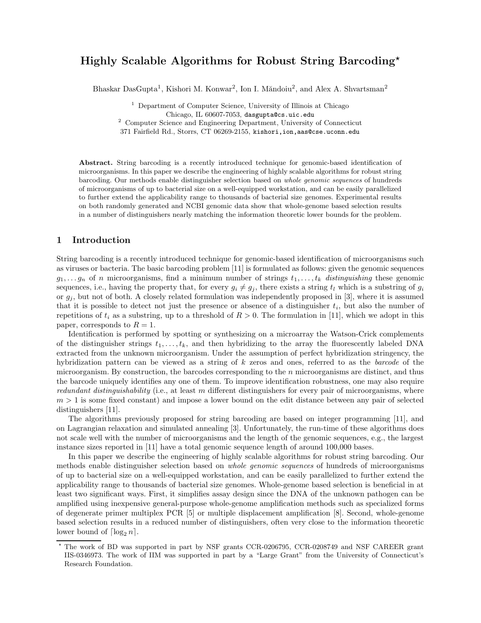# Highly Scalable Algorithms for Robust String Barcoding?

Bhaskar DasGupta<sup>1</sup>, Kishori M. Konwar<sup>2</sup>, Ion I. Măndoiu<sup>2</sup>, and Alex A. Shvartsman<sup>2</sup>

<sup>1</sup> Department of Computer Science, University of Illinois at Chicago

Chicago, IL 60607-7053, dasgupta@cs.uic.edu

<sup>2</sup> Computer Science and Engineering Department, University of Connecticut

371 Fairfield Rd., Storrs, CT 06269-2155, kishori,ion,aas@cse.uconn.edu

Abstract. String barcoding is a recently introduced technique for genomic-based identification of microorganisms. In this paper we describe the engineering of highly scalable algorithms for robust string barcoding. Our methods enable distinguisher selection based on whole genomic sequences of hundreds of microorganisms of up to bacterial size on a well-equipped workstation, and can be easily parallelized to further extend the applicability range to thousands of bacterial size genomes. Experimental results on both randomly generated and NCBI genomic data show that whole-genome based selection results in a number of distinguishers nearly matching the information theoretic lower bounds for the problem.

### 1 Introduction

String barcoding is a recently introduced technique for genomic-based identification of microorganisms such as viruses or bacteria. The basic barcoding problem [11] is formulated as follows: given the genomic sequences  $g_1, \ldots, g_n$  of n microorganisms, find a minimum number of strings  $t_1, \ldots, t_k$  distinguishing these genomic sequences, i.e., having the property that, for every  $g_i \neq g_j$ , there exists a string  $t_l$  which is a substring of  $g_i$ or  $g_i$ , but not of both. A closely related formulation was independently proposed in [3], where it is assumed that it is possible to detect not just the presence or absence of a distinguisher  $t_i$ , but also the number of repetitions of  $t_i$  as a substring, up to a threshold of  $R > 0$ . The formulation in [11], which we adopt in this paper, corresponds to  $R = 1$ .

Identification is performed by spotting or synthesizing on a microarray the Watson-Crick complements of the distinguisher strings  $t_1, \ldots, t_k$ , and then hybridizing to the array the fluorescently labeled DNA extracted from the unknown microorganism. Under the assumption of perfect hybridization stringency, the hybridization pattern can be viewed as a string of k zeros and ones, referred to as the barcode of the microorganism. By construction, the barcodes corresponding to the  $n$  microorganisms are distinct, and thus the barcode uniquely identifies any one of them. To improve identification robustness, one may also require redundant distinguishability (i.e., at least m different distinguishers for every pair of microorganisms, where  $m > 1$  is some fixed constant) and impose a lower bound on the edit distance between any pair of selected distinguishers [11].

The algorithms previously proposed for string barcoding are based on integer programming [11], and on Lagrangian relaxation and simulated annealing [3]. Unfortunately, the run-time of these algorithms does not scale well with the number of microorganisms and the length of the genomic sequences, e.g., the largest instance sizes reported in [11] have a total genomic sequence length of around 100,000 bases.

In this paper we describe the engineering of highly scalable algorithms for robust string barcoding. Our methods enable distinguisher selection based on whole genomic sequences of hundreds of microorganisms of up to bacterial size on a well-equipped workstation, and can be easily parallelized to further extend the applicability range to thousands of bacterial size genomes. Whole-genome based selection is beneficial in at least two significant ways. First, it simplifies assay design since the DNA of the unknown pathogen can be amplified using inexpensive general-purpose whole-genome amplification methods such as specialized forms of degenerate primer multiplex PCR [5] or multiple displacement amplification [8]. Second, whole-genome based selection results in a reduced number of distinguishers, often very close to the information theoretic lower bound of  $\lceil \log_2 n \rceil$ .

<sup>?</sup> The work of BD was supported in part by NSF grants CCR-0206795, CCR-0208749 and NSF CAREER grant IIS-0346973. The work of IIM was supported in part by a "Large Grant" from the University of Connecticut's Research Foundation.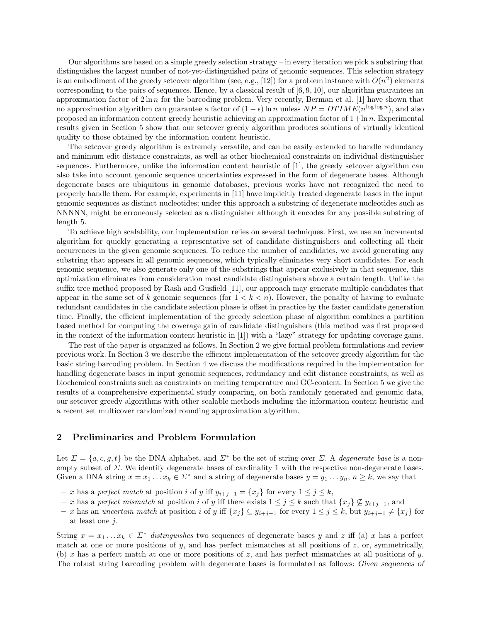Our algorithms are based on a simple greedy selection strategy – in every iteration we pick a substring that distinguishes the largest number of not-yet-distinguished pairs of genomic sequences. This selection strategy is an embodiment of the greedy setcover algorithm (see, e.g., [12]) for a problem instance with  $O(n^2)$  elements corresponding to the pairs of sequences. Hence, by a classical result of  $[6, 9, 10]$ , our algorithm guarantees an approximation factor of  $2 \ln n$  for the barcoding problem. Very recently, Berman et al. [1] have shown that no approximation algorithm can guarantee a factor of  $(1 - \epsilon) \ln n$  unless  $NP = DTIME(n^{\log \log n})$ , and also proposed an information content greedy heuristic achieving an approximation factor of  $1+\ln n$ . Experimental results given in Section 5 show that our setcover greedy algorithm produces solutions of virtually identical quality to those obtained by the information content heuristic.

The setcover greedy algorithm is extremely versatile, and can be easily extended to handle redundancy and minimum edit distance constraints, as well as other biochemical constraints on individual distinguisher sequences. Furthermore, unlike the information content heuristic of [1], the greedy setcover algorithm can also take into account genomic sequence uncertainties expressed in the form of degenerate bases. Although degenerate bases are ubiquitous in genomic databases, previous works have not recognized the need to properly handle them. For example, experiments in [11] have implicitly treated degenerate bases in the input genomic sequences as distinct nucleotides; under this approach a substring of degenerate nucleotides such as NNNNN, might be erroneously selected as a distinguisher although it encodes for any possible substring of length 5.

To achieve high scalability, our implementation relies on several techniques. First, we use an incremental algorithm for quickly generating a representative set of candidate distinguishers and collecting all their occurrences in the given genomic sequences. To reduce the number of candidates, we avoid generating any substring that appears in all genomic sequences, which typically eliminates very short candidates. For each genomic sequence, we also generate only one of the substrings that appear exclusively in that sequence, this optimization eliminates from consideration most candidate distinguishers above a certain length. Unlike the suffix tree method proposed by Rash and Gusfield [11], our approach may generate multiple candidates that appear in the same set of k genomic sequences (for  $1 < k < n$ ). However, the penalty of having to evaluate redundant candidates in the candidate selection phase is offset in practice by the faster candidate generation time. Finally, the efficient implementation of the greedy selection phase of algorithm combines a partition based method for computing the coverage gain of candidate distinguishers (this method was first proposed in the context of the information content heuristic in [1]) with a "lazy" strategy for updating coverage gains.

The rest of the paper is organized as follows. In Section 2 we give formal problem formulations and review previous work. In Section 3 we describe the efficient implementation of the setcover greedy algorithm for the basic string barcoding problem. In Section 4 we discuss the modifications required in the implementation for handling degenerate bases in input genomic sequences, redundancy and edit distance constraints, as well as biochemical constraints such as constraints on melting temperature and GC-content. In Section 5 we give the results of a comprehensive experimental study comparing, on both randomly generated and genomic data, our setcover greedy algorithms with other scalable methods including the information content heuristic and a recent set multicover randomized rounding approximation algorithm.

### 2 Preliminaries and Problem Formulation

Let  $\Sigma = \{a, c, g, t\}$  be the DNA alphabet, and  $\Sigma^*$  be the set of string over  $\Sigma$ . A degenerate base is a nonempty subset of  $\Sigma$ . We identify degenerate bases of cardinality 1 with the respective non-degenerate bases. Given a DNA string  $x = x_1 \dots x_k \in \Sigma^*$  and a string of degenerate bases  $y = y_1 \dots y_n$ ,  $n \geq k$ , we say that

- x has a perfect match at position i of y iff  $y_{i+j-1} = \{x_j\}$  for every  $1 \leq j \leq k$ ,
- x has a perfect mismatch at position i of y iff there exists  $1 \leq j \leq k$  such that  $\{x_j\} \nsubseteq y_{i+j-1}$ , and
- x has an uncertain match at position i of y iff  $\{x_i\}$  ⊆  $y_{i+i-1}$  for every  $1 \leq j \leq k$ , but  $y_{i+j-1} \neq \{x_i\}$  for at least one j.

String  $x = x_1 \dots x_k \in \Sigma^*$  distinguishes two sequences of degenerate bases y and z iff (a) x has a perfect match at one or more positions of y, and has perfect mismatches at all positions of  $z$ , or, symmetrically, (b) x has a perfect match at one or more positions of z, and has perfect mismatches at all positions of y. The robust string barcoding problem with degenerate bases is formulated as follows: Given sequences of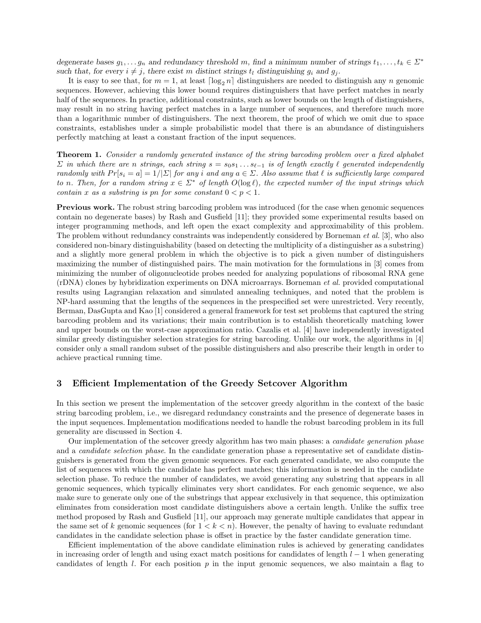degenerate bases  $g_1, \ldots, g_n$  and redundancy threshold m, find a minimum number of strings  $t_1, \ldots, t_k \in \Sigma^*$ such that, for every  $i \neq j$ , there exist m distinct strings  $t_l$  distinguishing  $g_i$  and  $g_j$ .

It is easy to see that, for  $m = 1$ , at least  $\lceil \log_2 n \rceil$  distinguishers are needed to distinguish any n genomic sequences. However, achieving this lower bound requires distinguishers that have perfect matches in nearly half of the sequences. In practice, additional constraints, such as lower bounds on the length of distinguishers, may result in no string having perfect matches in a large number of sequences, and therefore much more than a logarithmic number of distinguishers. The next theorem, the proof of which we omit due to space constraints, establishes under a simple probabilistic model that there is an abundance of distinguishers perfectly matching at least a constant fraction of the input sequences.

Theorem 1. Consider a randomly generated instance of the string barcoding problem over a fixed alphabet  $\Sigma$  in which there are n strings, each string  $s = s_0 s_1 \dots s_{\ell-1}$  is of length exactly  $\ell$  generated independently randomly with  $Pr[s_i = a] = 1/|\Sigma|$  for any i and any  $a \in \Sigma$ . Also assume that  $\ell$  is sufficiently large compared to n. Then, for a random string  $x \in \Sigma^*$  of length  $O(\log \ell)$ , the expected number of the input strings which contain x as a substring is pn for some constant  $0 < p < 1$ .

Previous work. The robust string barcoding problem was introduced (for the case when genomic sequences contain no degenerate bases) by Rash and Gusfield [11]; they provided some experimental results based on integer programming methods, and left open the exact complexity and approximability of this problem. The problem without redundancy constraints was independently considered by Borneman *et al.* [3], who also considered non-binary distinguishability (based on detecting the multiplicity of a distinguisher as a substring) and a slightly more general problem in which the objective is to pick a given number of distinguishers maximizing the number of distinguished pairs. The main motivation for the formulations in [3] comes from minimizing the number of oligonucleotide probes needed for analyzing populations of ribosomal RNA gene (rDNA) clones by hybridization experiments on DNA microarrays. Borneman et al. provided computational results using Lagrangian relaxation and simulated annealing techniques, and noted that the problem is NP-hard assuming that the lengths of the sequences in the prespecified set were unrestricted. Very recently, Berman, DasGupta and Kao [1] considered a general framework for test set problems that captured the string barcoding problem and its variations; their main contribution is to establish theoretically matching lower and upper bounds on the worst-case approximation ratio. Cazalis et al. [4] have independently investigated similar greedy distinguisher selection strategies for string barcoding. Unlike our work, the algorithms in [4] consider only a small random subset of the possible distinguishers and also prescribe their length in order to achieve practical running time.

### 3 Efficient Implementation of the Greedy Setcover Algorithm

In this section we present the implementation of the setcover greedy algorithm in the context of the basic string barcoding problem, i.e., we disregard redundancy constraints and the presence of degenerate bases in the input sequences. Implementation modifications needed to handle the robust barcoding problem in its full generality are discussed in Section 4.

Our implementation of the setcover greedy algorithm has two main phases: a candidate generation phase and a *candidate selection phase*. In the candidate generation phase a representative set of candidate distinguishers is generated from the given genomic sequences. For each generated candidate, we also compute the list of sequences with which the candidate has perfect matches; this information is needed in the candidate selection phase. To reduce the number of candidates, we avoid generating any substring that appears in all genomic sequences, which typically eliminates very short candidates. For each genomic sequence, we also make sure to generate only one of the substrings that appear exclusively in that sequence, this optimization eliminates from consideration most candidate distinguishers above a certain length. Unlike the suffix tree method proposed by Rash and Gusfield [11], our approach may generate multiple candidates that appear in the same set of k genomic sequences (for  $1 < k < n$ ). However, the penalty of having to evaluate redundant candidates in the candidate selection phase is offset in practice by the faster candidate generation time.

Efficient implementation of the above candidate elimination rules is achieved by generating candidates in increasing order of length and using exact match positions for candidates of length  $l-1$  when generating candidates of length l. For each position  $p$  in the input genomic sequences, we also maintain a flag to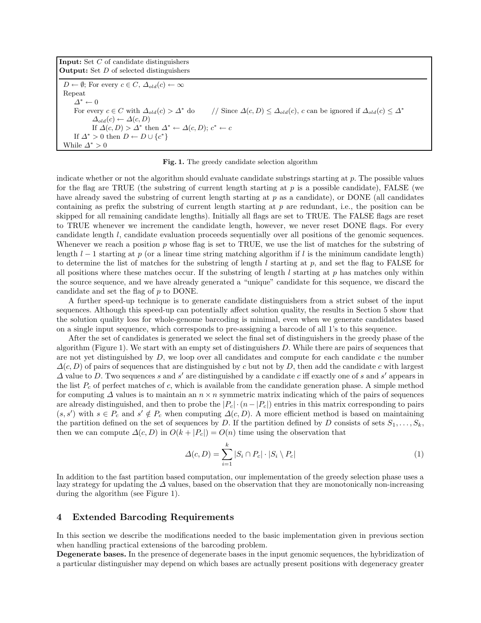**Input:** Set  $C$  of candidate distinguishers **Output:** Set  $D$  of selected distinguishers

 $D \leftarrow \emptyset$ ; For every  $c \in C$ ,  $\Delta_{old}(c) \leftarrow \infty$ Repeat  $\Delta^* \leftarrow 0$ For every  $c \in C$  with  $\Delta_{old}(c) > \Delta^*$  do <sup>\*</sup> do // Since  $\Delta(c, D) \leq \Delta_{old}(c), c$  can be ignored if  $\Delta_{old}(c) \leq \Delta^*$  $\Delta_{old}(c) \leftarrow \Delta(c, D)$ If  $\Delta(c, D) > \Delta^*$  then  $\Delta^* \leftarrow \Delta(c, D); c^* \leftarrow c$ If  $\Delta^* > 0$  then  $D \leftarrow D \cup \{c^*\}$ While  $\Delta^* > 0$ 

#### Fig. 1. The greedy candidate selection algorithm

indicate whether or not the algorithm should evaluate candidate substrings starting at p. The possible values for the flag are TRUE (the substring of current length starting at  $p$  is a possible candidate), FALSE (we have already saved the substring of current length starting at  $p$  as a candidate), or DONE (all candidates containing as prefix the substring of current length starting at p are redundant, i.e., the position can be skipped for all remaining candidate lengths). Initially all flags are set to TRUE. The FALSE flags are reset to TRUE whenever we increment the candidate length, however, we never reset DONE flags. For every candidate length l, candidate evaluation proceeds sequentially over all positions of the genomic sequences. Whenever we reach a position  $p$  whose flag is set to TRUE, we use the list of matches for the substring of length  $l-1$  starting at p (or a linear time string matching algorithm if l is the minimum candidate length) to determine the list of matches for the substring of length  $l$  starting at  $p$ , and set the flag to FALSE for all positions where these matches occur. If the substring of length  $l$  starting at  $p$  has matches only within the source sequence, and we have already generated a "unique" candidate for this sequence, we discard the candidate and set the flag of p to DONE.

A further speed-up technique is to generate candidate distinguishers from a strict subset of the input sequences. Although this speed-up can potentially affect solution quality, the results in Section 5 show that the solution quality loss for whole-genome barcoding is minimal, even when we generate candidates based on a single input sequence, which corresponds to pre-assigning a barcode of all 1's to this sequence.

After the set of candidates is generated we select the final set of distinguishers in the greedy phase of the algorithm (Figure 1). We start with an empty set of distinguishers  $D$ . While there are pairs of sequences that are not yet distinguished by  $D$ , we loop over all candidates and compute for each candidate  $c$  the number  $\Delta(c, D)$  of pairs of sequences that are distinguished by c but not by D, then add the candidate c with largest  $\Delta$  value to D. Two sequences s and s' are distinguished by a candidate c iff exactly one of s and s' appears in the list  $P_c$  of perfect matches of c, which is available from the candidate generation phase. A simple method for computing  $\Delta$  values is to maintain an  $n \times n$  symmetric matrix indicating which of the pairs of sequences are already distinguished, and then to probe the  $|P_c| \cdot (n - |P_c|)$  entries in this matrix corresponding to pairs  $(s, s')$  with  $s \in P_c$  and  $s' \notin P_c$  when computing  $\Delta(c, D)$ . A more efficient method is based on maintaining the partition defined on the set of sequences by D. If the partition defined by D consists of sets  $S_1, \ldots, S_k$ , then we can compute  $\Delta(c, D)$  in  $O(k + |P_c|) = O(n)$  time using the observation that

$$
\Delta(c, D) = \sum_{i=1}^{k} |S_i \cap P_c| \cdot |S_i \setminus P_c| \tag{1}
$$

In addition to the fast partition based computation, our implementation of the greedy selection phase uses a lazy strategy for updating the ∆ values, based on the observation that they are monotonically non-increasing during the algorithm (see Figure 1).

### 4 Extended Barcoding Requirements

In this section we describe the modifications needed to the basic implementation given in previous section when handling practical extensions of the barcoding problem.

Degenerate bases. In the presence of degenerate bases in the input genomic sequences, the hybridization of a particular distinguisher may depend on which bases are actually present positions with degeneracy greater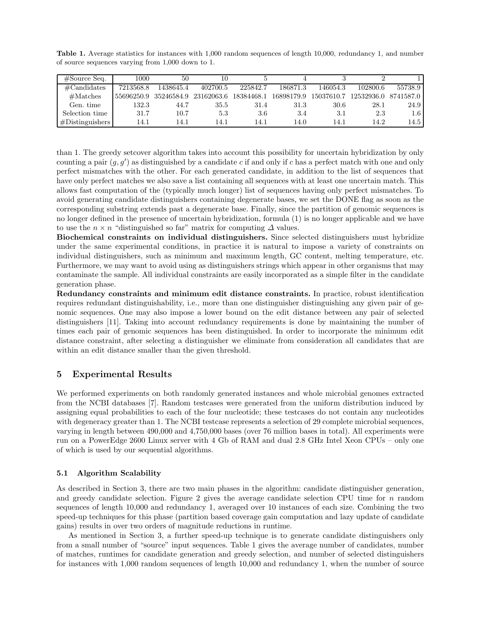Table 1. Average statistics for instances with 1,000 random sequences of length 10,000, redundancy 1, and number of source sequences varying from 1,000 down to 1.

| $#Source$ Seq.        | 1000       | 50         | 10         |            |            |            |                      |                  |
|-----------------------|------------|------------|------------|------------|------------|------------|----------------------|------------------|
| $\#\text{Candidates}$ | 7213568.8  | 1438645.4  | 402700.5   | 225842.7   | 186871.3   | 146054.3   | 102800.6             | 55738.9          |
| $#$ Matches           | 55696250.9 | 35246584.9 | 23162063.6 | 18384468.1 | 16898179.9 | 15037610.7 | 12532936.0 8741587.0 |                  |
| Gen. time             | 132.3      | 44.7       | 35.5       | 31.4       | 31.3       | 30.6       | 28.1                 | 24.9             |
| Selection time        | 31.7       | $10.7\,$   | 5.3        | 3.6        | 3.4        | 3.1        | 2.3                  | 1.6 <sup>1</sup> |
| #Distinguishers       | 14.1       | l4.1       | l4.1       | 14.1       | 14.0       | 14.1       | 14.2                 | 14.5             |

than 1. The greedy setcover algorithm takes into account this possibility for uncertain hybridization by only counting a pair  $(g, g')$  as distinguished by a candidate c if and only if c has a perfect match with one and only perfect mismatches with the other. For each generated candidate, in addition to the list of sequences that have only perfect matches we also save a list containing all sequences with at least one uncertain match. This allows fast computation of the (typically much longer) list of sequences having only perfect mismatches. To avoid generating candidate distinguishers containing degenerate bases, we set the DONE flag as soon as the corresponding substring extends past a degenerate base. Finally, since the partition of genomic sequences is no longer defined in the presence of uncertain hybridization, formula (1) is no longer applicable and we have to use the  $n \times n$  "distinguished so far" matrix for computing  $\Delta$  values.

Biochemical constraints on individual distinguishers. Since selected distinguishers must hybridize under the same experimental conditions, in practice it is natural to impose a variety of constraints on individual distinguishers, such as minimum and maximum length, GC content, melting temperature, etc. Furthermore, we may want to avoid using as distinguishers strings which appear in other organisms that may contaminate the sample. All individual constraints are easily incorporated as a simple filter in the candidate generation phase.

Redundancy constraints and minimum edit distance constraints. In practice, robust identification requires redundant distinguishability, i.e., more than one distinguisher distinguishing any given pair of genomic sequences. One may also impose a lower bound on the edit distance between any pair of selected distinguishers [11]. Taking into account redundancy requirements is done by maintaining the number of times each pair of genomic sequences has been distinguished. In order to incorporate the minimum edit distance constraint, after selecting a distinguisher we eliminate from consideration all candidates that are within an edit distance smaller than the given threshold.

## 5 Experimental Results

We performed experiments on both randomly generated instances and whole microbial genomes extracted from the NCBI databases [7]. Random testcases were generated from the uniform distribution induced by assigning equal probabilities to each of the four nucleotide; these testcases do not contain any nucleotides with degeneracy greater than 1. The NCBI testcase represents a selection of 29 complete microbial sequences, varying in length between 490,000 and 4,750,000 bases (over 76 million bases in total). All experiments were run on a PowerEdge 2600 Linux server with 4 Gb of RAM and dual 2.8 GHz Intel Xeon CPUs – only one of which is used by our sequential algorithms.

### 5.1 Algorithm Scalability

As described in Section 3, there are two main phases in the algorithm: candidate distinguisher generation, and greedy candidate selection. Figure 2 gives the average candidate selection CPU time for n random sequences of length 10,000 and redundancy 1, averaged over 10 instances of each size. Combining the two speed-up techniques for this phase (partition based coverage gain computation and lazy update of candidate gains) results in over two orders of magnitude reductions in runtime.

As mentioned in Section 3, a further speed-up technique is to generate candidate distinguishers only from a small number of "source" input sequences. Table 1 gives the average number of candidates, number of matches, runtimes for candidate generation and greedy selection, and number of selected distinguishers for instances with 1,000 random sequences of length 10,000 and redundancy 1, when the number of source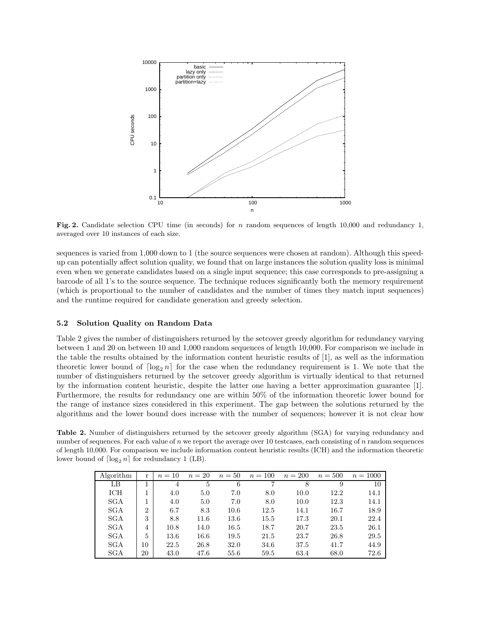

Fig. 2. Candidate selection CPU time (in seconds) for n random sequences of length 10,000 and redundancy 1, averaged over 10 instances of each size.

sequences is varied from 1,000 down to 1 (the source sequences were chosen at random). Although this speedup can potentially affect solution quality, we found that on large instances the solution quality loss is minimal even when we generate candidates based on a single input sequence; this case corresponds to pre-assigning a barcode of all 1's to the source sequence. The technique reduces significantly both the memory requirement (which is proportional to the number of candidates and the number of times they match input sequences) and the runtime required for candidate generation and greedy selection.

### 5.2 Solution Quality on Random Data

Table 2 gives the number of distinguishers returned by the setcover greedy algorithm for redundancy varying between 1 and 20 on between 10 and 1,000 random sequences of length 10,000. For comparison we include in the table the results obtained by the information content heuristic results of [1], as well as the information theoretic lower bound of  $\lceil \log_2 n \rceil$  for the case when the redundancy requirement is 1. We note that the number of distinguishers returned by the setcover greedy algorithm is virtually identical to that returned by the information content heuristic, despite the latter one having a better approximation guarantee [1]. Furthermore, the results for redundancy one are within 50% of the information theoretic lower bound for the range of instance sizes considered in this experiment. The gap between the solutions returned by the algorithms and the lower bound does increase with the number of sequences; however it is not clear how

Table 2. Number of distinguishers returned by the setcover greedy algorithm (SGA) for varying redundancy and number of sequences. For each value of  $n$  we report the average over 10 testcases, each consisting of  $n$  random sequences of length 10,000. For comparison we include information content heuristic results (ICH) and the information theoretic lower bound of  $\lceil \log_2 n \rceil$  for redundancy 1 (LB).

| Algorithm    | r              | $n=10$ | $n=20$ | $n=50$ | $n = 100$ | $n = 200$ | $n = 500$ | $n = 1000$ |
|--------------|----------------|--------|--------|--------|-----------|-----------|-----------|------------|
| LΒ           |                | 4      | 5      | 6      |           | 8         | 9         | 10         |
| ICH          |                | 4.0    | 5.0    | 7.0    | 8.0       | 10.0      | 12.2      | 14.1       |
| <b>SGA</b>   |                | 4.0    | 5.0    | 7.0    | 8.0       | 10.0      | 12.3      | 14.1       |
| <b>SGA</b>   | $\overline{2}$ | 6.7    | 8.3    | 10.6   | 12.5      | 14.1      | 16.7      | 18.9       |
| SGA          | 3              | 8.8    | 11.6   | 13.6   | 15.5      | 17.3      | 20.1      | 22.4       |
| SGA          | 4              | 10.8   | 14.0   | 16.5   | 18.7      | 20.7      | 23.5      | 26.1       |
| $_{\rm SGA}$ | $\overline{5}$ | 13.6   | 16.6   | 19.5   | 21.5      | 23.7      | 26.8      | 29.5       |
| SGA          | 10             | 22.5   | 26.8   | 32.0   | 34.6      | 37.5      | 41.7      | 44.9       |
| SGA          | 20             | 43.0   | 47.6   | 55.6   | 59.5      | 63.4      | 68.0      | 72.6       |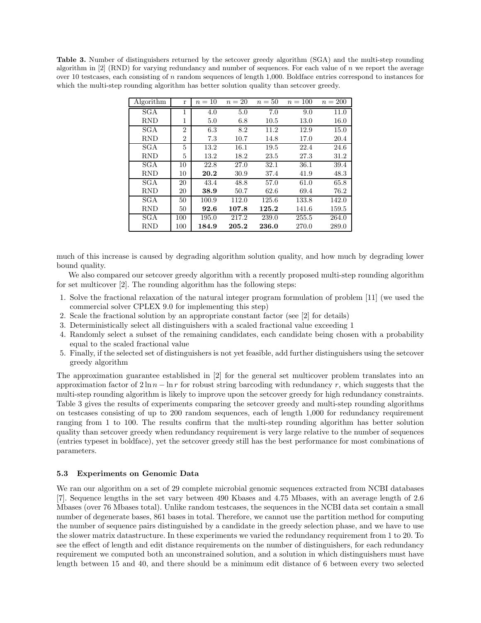Table 3. Number of distinguishers returned by the setcover greedy algorithm (SGA) and the multi-step rounding algorithm in  $[2]$  (RND) for varying redundancy and number of sequences. For each value of n we report the average over 10 testcases, each consisting of  $n$  random sequences of length 1,000. Boldface entries correspond to instances for which the multi-step rounding algorithm has better solution quality than setcover greedy.

| Algorithm  | r              | $n=10$ | $n=20$ | $n=50$ | $n = 100$ | $n = 200$ |
|------------|----------------|--------|--------|--------|-----------|-----------|
| SGA        | 1              | 4.0    | 5.0    | 7.0    | 9.0       | 11.0      |
| <b>RND</b> | 1              | 5.0    | 6.8    | 10.5   | 13.0      | 16.0      |
| SGA        | $\overline{2}$ | 6.3    | 8.2    | 11.2   | 12.9      | 15.0      |
| <b>RND</b> | $\overline{2}$ | 7.3    | 10.7   | 14.8   | 17.0      | 20.4      |
| SGA        | 5              | 13.2   | 16.1   | 19.5   | 22.4      | 24.6      |
| <b>RND</b> | 5              | 13.2   | 18.2   | 23.5   | 27.3      | 31.2      |
| SGA        | 10             | 22.8   | 27.0   | 32.1   | 36.1      | 39.4      |
| <b>RND</b> | 10             | 20.2   | 30.9   | 37.4   | 41.9      | 48.3      |
| SGA        | 20             | 43.4   | 48.8   | 57.0   | 61.0      | 65.8      |
| <b>RND</b> | 20             | 38.9   | 50.7   | 62.6   | 69.4      | 76.2      |
| SGA        | 50             | 100.9  | 112.0  | 125.6  | 133.8     | 142.0     |
| <b>RND</b> | 50             | 92.6   | 107.8  | 125.2  | 141.6     | 159.5     |
| SGA        | 100            | 195.0  | 217.2  | 239.0  | 255.5     | 264.0     |
| RND        | 100            | 184.9  | 205.2  | 236.0  | 270.0     | 289.0     |

much of this increase is caused by degrading algorithm solution quality, and how much by degrading lower bound quality.

We also compared our setcover greedy algorithm with a recently proposed multi-step rounding algorithm for set multicover [2]. The rounding algorithm has the following steps:

- 1. Solve the fractional relaxation of the natural integer program formulation of problem [11] (we used the commercial solver CPLEX 9.0 for implementing this step)
- 2. Scale the fractional solution by an appropriate constant factor (see [2] for details)
- 3. Deterministically select all distinguishers with a scaled fractional value exceeding 1
- 4. Randomly select a subset of the remaining candidates, each candidate being chosen with a probability equal to the scaled fractional value
- 5. Finally, if the selected set of distinguishers is not yet feasible, add further distinguishers using the setcover greedy algorithm

The approximation guarantee established in [2] for the general set multicover problem translates into an approximation factor of  $2 \ln n - \ln r$  for robust string barcoding with redundancy r, which suggests that the multi-step rounding algorithm is likely to improve upon the setcover greedy for high redundancy constraints. Table 3 gives the results of experiments comparing the setcover greedy and multi-step rounding algorithms on testcases consisting of up to 200 random sequences, each of length 1,000 for redundancy requirement ranging from 1 to 100. The results confirm that the multi-step rounding algorithm has better solution quality than setcover greedy when redundancy requirement is very large relative to the number of sequences (entries typeset in boldface), yet the setcover greedy still has the best performance for most combinations of parameters.

#### 5.3 Experiments on Genomic Data

We ran our algorithm on a set of 29 complete microbial genomic sequences extracted from NCBI databases [7]. Sequence lengths in the set vary between 490 Kbases and 4.75 Mbases, with an average length of 2.6 Mbases (over 76 Mbases total). Unlike random testcases, the sequences in the NCBI data set contain a small number of degenerate bases, 861 bases in total. Therefore, we cannot use the partition method for computing the number of sequence pairs distinguished by a candidate in the greedy selection phase, and we have to use the slower matrix datastructure. In these experiments we varied the redundancy requirement from 1 to 20. To see the effect of length and edit distance requirements on the number of distinguishers, for each redundancy requirement we computed both an unconstrained solution, and a solution in which distinguishers must have length between 15 and 40, and there should be a minimum edit distance of 6 between every two selected